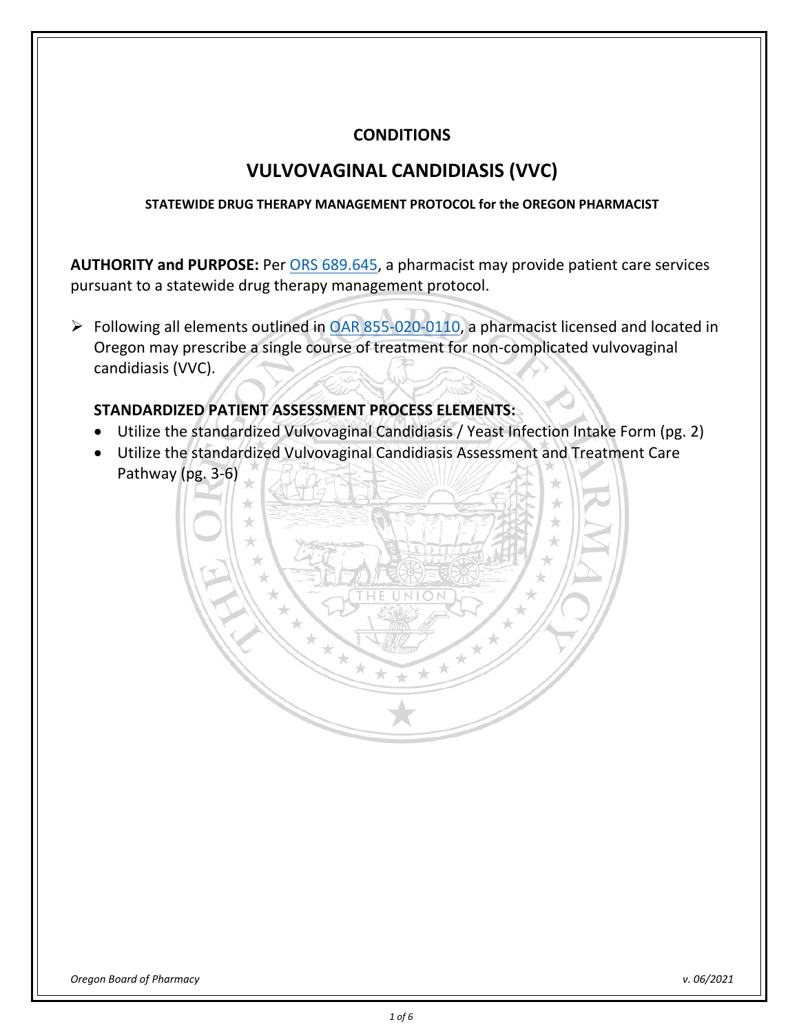## **CONDITIONS**

# **VULVOVAGINAL CANDIDIASIS (VVC)**

## **STATEWIDE DRUG THERAPY MANAGEMENT PROTOCOL for the OREGON PHARMACIST**

**AUTHORITY and PURPOSE:** Per [ORS 689.645,](https://www.oregonlegislature.gov/bills_laws/ors/ors689.html) a pharmacist may provide patient care services pursuant to a statewide drug therapy management protocol.

Following all elements outlined in [OAR 855-020-0110,](https://secure.sos.state.or.us/oard/viewSingleRule.action?ruleVrsnRsn=262657) a pharmacist licensed and located in Oregon may prescribe a single course of treatment for non-complicated vulvovaginal candidiasis (VVC).

## **STANDARDIZED PATIENT ASSESSMENT PROCESS ELEMENTS:**

- Utilize the standardized Vulvovaginal Candidiasis / Yeast Infection Intake Form (pg. 2)
- Utilize the standardized Vulvovaginal Candidiasis Assessment and Treatment Care Pathway (pg. 3-6)

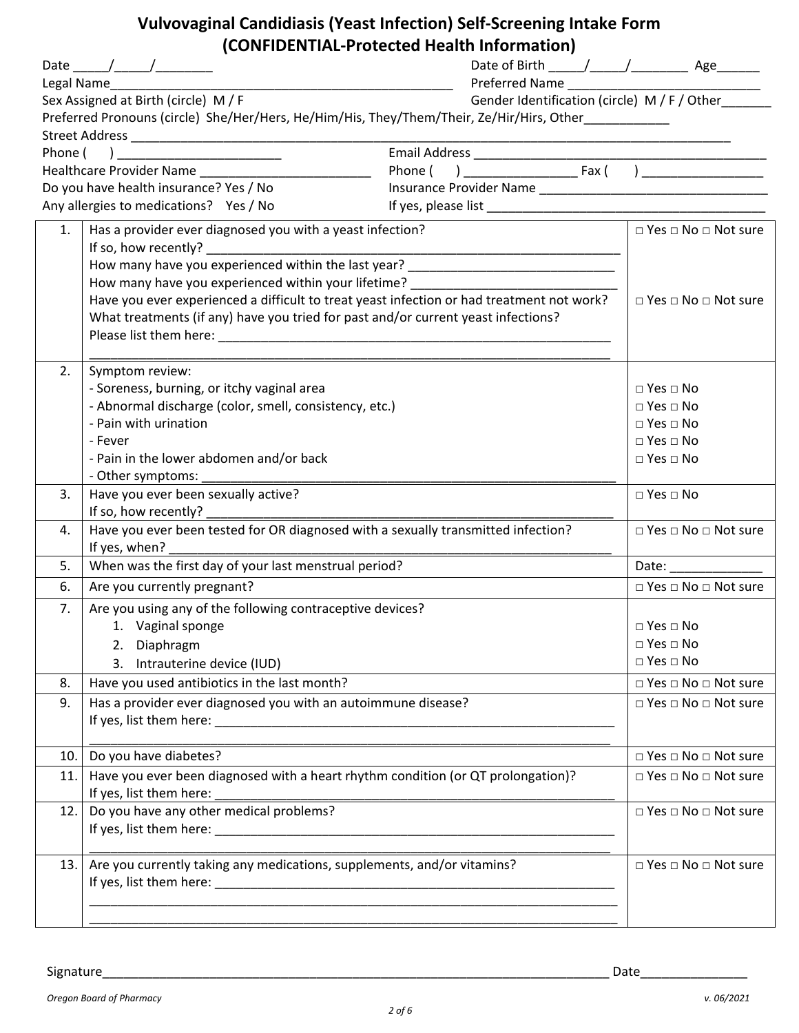# **Vulvovaginal Candidiasis (Yeast Infection) Self-Screening Intake Form (CONFIDENTIAL-Protected Health Information)**

|     | Date _____/_____/__________<br>Legal Name____                                                       |                                              |                                      |
|-----|-----------------------------------------------------------------------------------------------------|----------------------------------------------|--------------------------------------|
|     | Sex Assigned at Birth (circle) M / F                                                                | Gender Identification (circle) M / F / Other |                                      |
|     | Preferred Pronouns (circle) She/Her/Hers, He/Him/His, They/Them/Their, Ze/Hir/Hirs, Other__________ |                                              |                                      |
|     |                                                                                                     |                                              |                                      |
|     |                                                                                                     |                                              |                                      |
|     | Do you have health insurance? Yes / No                                                              |                                              |                                      |
|     | Any allergies to medications? Yes / No                                                              |                                              |                                      |
|     |                                                                                                     |                                              |                                      |
| 1.  | Has a provider ever diagnosed you with a yeast infection?                                           |                                              | □ Yes □ No □ Not sure                |
|     | If so, how recently?                                                                                |                                              |                                      |
|     | How many have you experienced within the last year? ____________________________                    |                                              |                                      |
|     | How many have you experienced within your lifetime? ____________________________                    |                                              |                                      |
|     | Have you ever experienced a difficult to treat yeast infection or had treatment not work?           | $\Box$ Yes $\Box$ No $\Box$ Not sure         |                                      |
|     | What treatments (if any) have you tried for past and/or current yeast infections?                   |                                              |                                      |
|     |                                                                                                     |                                              |                                      |
| 2.  | Symptom review:                                                                                     |                                              |                                      |
|     | - Soreness, burning, or itchy vaginal area                                                          |                                              | $\Box$ Yes $\Box$ No                 |
|     | - Abnormal discharge (color, smell, consistency, etc.)                                              |                                              | $\Box$ Yes $\Box$ No                 |
|     | - Pain with urination                                                                               |                                              | $\Box$ Yes $\Box$ No                 |
|     | - Fever                                                                                             |                                              | $\Box$ Yes $\Box$ No                 |
|     | - Pain in the lower abdomen and/or back                                                             |                                              | $\Box$ Yes $\Box$ No                 |
|     | - Other symptoms:                                                                                   |                                              |                                      |
| 3.  | Have you ever been sexually active?                                                                 |                                              | $\Box$ Yes $\Box$ No                 |
|     | If so, how recently?                                                                                |                                              |                                      |
| 4.  | Have you ever been tested for OR diagnosed with a sexually transmitted infection?                   |                                              | $\Box$ Yes $\Box$ No $\Box$ Not sure |
|     | If yes, when?                                                                                       |                                              |                                      |
| 5.  | When was the first day of your last menstrual period?                                               |                                              |                                      |
| 6.  | Are you currently pregnant?                                                                         |                                              | $\Box$ Yes $\Box$ No $\Box$ Not sure |
| 7.  | Are you using any of the following contraceptive devices?                                           |                                              |                                      |
|     | 1. Vaginal sponge                                                                                   |                                              | $\Box$ Yes $\Box$ No                 |
|     | 2. Diaphragm                                                                                        |                                              | $\Box$ Yes $\Box$ No                 |
|     | 3. Intrauterine device (IUD)                                                                        |                                              | $\Box$ Yes $\Box$ No                 |
| 8.  | Have you used antibiotics in the last month?                                                        |                                              | $\Box$ Yes $\Box$ No $\Box$ Not sure |
| 9.  | Has a provider ever diagnosed you with an autoimmune disease?                                       |                                              | $\Box$ Yes $\Box$ No $\Box$ Not sure |
|     |                                                                                                     |                                              |                                      |
| 10. | Do you have diabetes?                                                                               |                                              | $\Box$ Yes $\Box$ No $\Box$ Not sure |
| 11. | Have you ever been diagnosed with a heart rhythm condition (or QT prolongation)?                    |                                              | $\Box$ Yes $\Box$ No $\Box$ Not sure |
|     | If yes, list them here:                                                                             |                                              |                                      |
| 12. | Do you have any other medical problems?                                                             |                                              | $\Box$ Yes $\Box$ No $\Box$ Not sure |
|     |                                                                                                     |                                              |                                      |
|     |                                                                                                     |                                              |                                      |
| 13. | Are you currently taking any medications, supplements, and/or vitamins?                             |                                              | $\Box$ Yes $\Box$ No $\Box$ Not sure |
|     |                                                                                                     |                                              |                                      |
|     |                                                                                                     |                                              |                                      |
|     |                                                                                                     |                                              |                                      |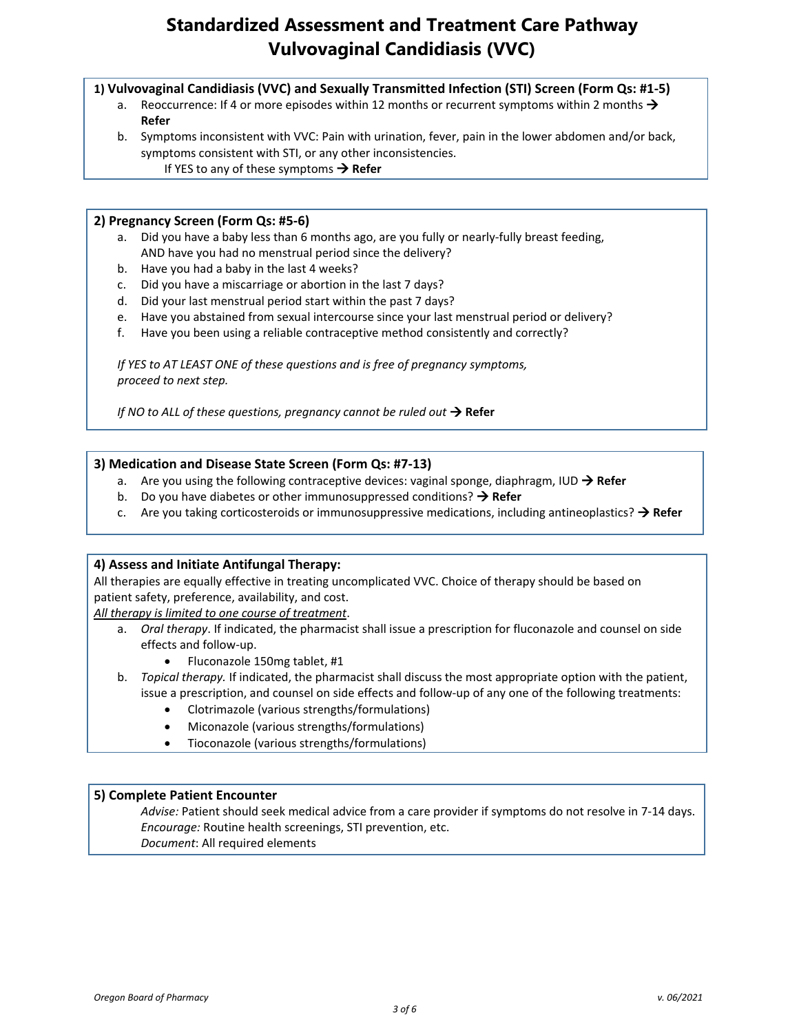# **Standardized Assessment and Treatment Care Pathway Vulvovaginal Candidiasis (VVC)**

**1) Vulvovaginal Candidiasis (VVC) and Sexually Transmitted Infection (STI) Screen (Form Qs: #1-5)**

- a. Reoccurrence: If 4 or more episodes within 12 months or recurrent symptoms within 2 months  $\rightarrow$ **Refer**
- b. Symptoms inconsistent with VVC: Pain with urination, fever, pain in the lower abdomen and/or back, symptoms consistent with STI, or any other inconsistencies. If YES to any of these symptoms  $\rightarrow$  Refer

### **2) Pregnancy Screen (Form Qs: #5-6)**

- a. Did you have a baby less than 6 months ago, are you fully or nearly-fully breast feeding, AND have you had no menstrual period since the delivery?
- b. Have you had a baby in the last 4 weeks?
- c. Did you have a miscarriage or abortion in the last 7 days?
- d. Did your last menstrual period start within the past 7 days?
- e. Have you abstained from sexual intercourse since your last menstrual period or delivery?
- f. Have you been using a reliable contraceptive method consistently and correctly?

*If YES to AT LEAST ONE of these questions and is free of pregnancy symptoms, proceed to next step.*

*If NO to ALL of these questions, pregnancy cannot be ruled out* **→ Refer** 

### **3) Medication and Disease State Screen (Form Qs: #7-13)**

- a. Are you using the following contraceptive devices: vaginal sponge, diaphragm, IUD → Refer
- b. Do you have diabetes or other immunosuppressed conditions?  $\rightarrow$  Refer
- c. Are you taking corticosteroids or immunosuppressive medications, including antineoplastics?  $\rightarrow$  Refer

#### **4) Assess and Initiate Antifungal Therapy:**

All therapies are equally effective in treating uncomplicated VVC. Choice of therapy should be based on patient safety, preference, availability, and cost.

*All therapy is limited to one course of treatment*.

- a. *Oral therapy*. If indicated, the pharmacist shall issue a prescription for fluconazole and counsel on side effects and follow-up.
	- Fluconazole 150mg tablet, #1
- b. *Topical therapy.* If indicated, the pharmacist shall discuss the most appropriate option with the patient, issue a prescription, and counsel on side effects and follow-up of any one of the following treatments:
	- Clotrimazole (various strengths/formulations)
	- Miconazole (various strengths/formulations)
	- Tioconazole (various strengths/formulations)

#### **5) Complete Patient Encounter**

*Advise:* Patient should seek medical advice from a care provider if symptoms do not resolve in 7-14 days. *Encourage:* Routine health screenings, STI prevention, etc. *Document*: All required elements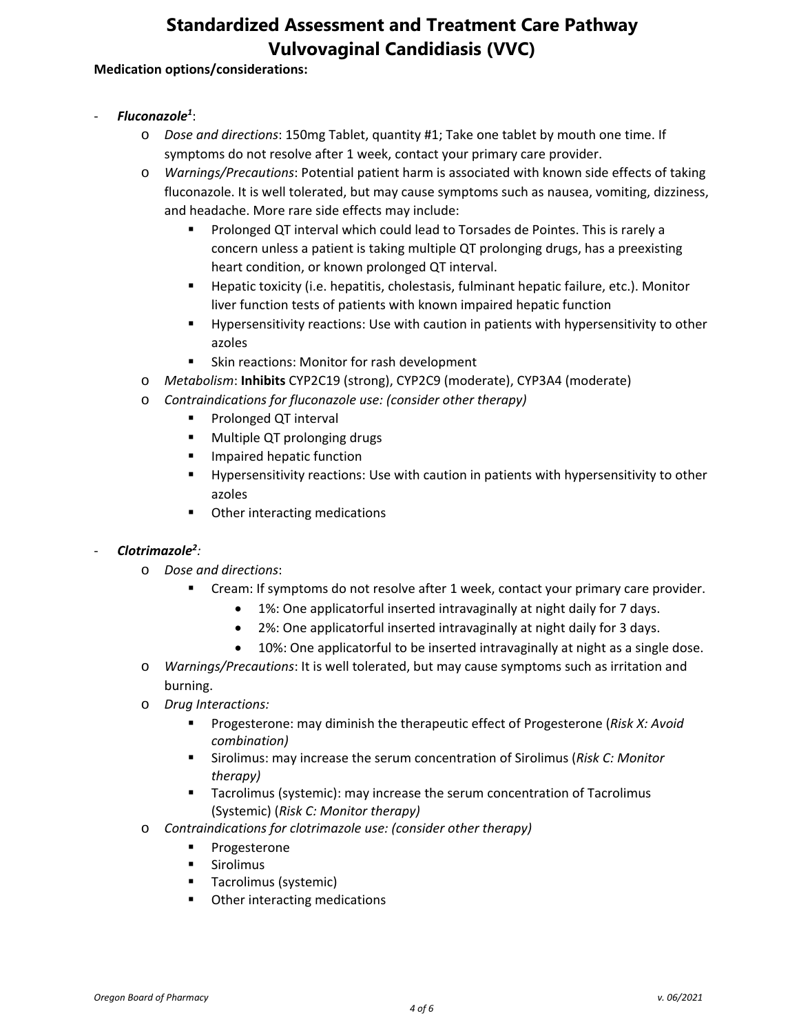# **Standardized Assessment and Treatment Care Pathway Vulvovaginal Candidiasis (VVC)**

### **Medication options/considerations:**

- *Fluconazole1* :
	- o *Dose and directions*: 150mg Tablet, quantity #1; Take one tablet by mouth one time. If symptoms do not resolve after 1 week, contact your primary care provider.
	- o *Warnings/Precautions*: Potential patient harm is associated with known side effects of taking fluconazole. It is well tolerated, but may cause symptoms such as nausea, vomiting, dizziness, and headache. More rare side effects may include:
		- **Prolonged QT interval which could lead to Torsades de Pointes. This is rarely a** concern unless a patient is taking multiple QT prolonging drugs, has a preexisting heart condition, or known prolonged QT interval.
		- Hepatic toxicity (i.e. hepatitis, cholestasis, fulminant hepatic failure, etc.). Monitor liver function tests of patients with known impaired hepatic function
		- Hypersensitivity reactions: Use with caution in patients with hypersensitivity to other azoles
		- **Skin reactions: Monitor for rash development**
	- o *Metabolism*: **Inhibits** CYP2C19 (strong), CYP2C9 (moderate), CYP3A4 (moderate)
	- o *Contraindications for fluconazole use: (consider other therapy)*
		- **Prolonged QT interval**
		- **Multiple QT prolonging drugs**
		- **Impaired hepatic function**
		- Hypersensitivity reactions: Use with caution in patients with hypersensitivity to other azoles
		- Other interacting medications

### - *Clotrimazole2 :*

- o *Dose and directions*:
	- Cream: If symptoms do not resolve after 1 week, contact your primary care provider.
		- 1%: One applicatorful inserted intravaginally at night daily for 7 days.
		- 2%: One applicatorful inserted intravaginally at night daily for 3 days.
		- 10%: One applicatorful to be inserted intravaginally at night as a single dose.
- o *Warnings/Precautions*: It is well tolerated, but may cause symptoms such as irritation and burning.
- o *Drug Interactions:*
	- Progesterone: may diminish the therapeutic effect of Progesterone (*Risk X: Avoid combination)*
	- Sirolimus: may increase the serum concentration of Sirolimus (*Risk C: Monitor therapy)*
	- Tacrolimus (systemic): may increase the serum concentration of Tacrolimus (Systemic) (*Risk C: Monitor therapy)*
- o *Contraindications for clotrimazole use: (consider other therapy)*
	- **Progesterone**
	- **E** Sirolimus
	- **Tacrolimus (systemic)**
	- **•** Other interacting medications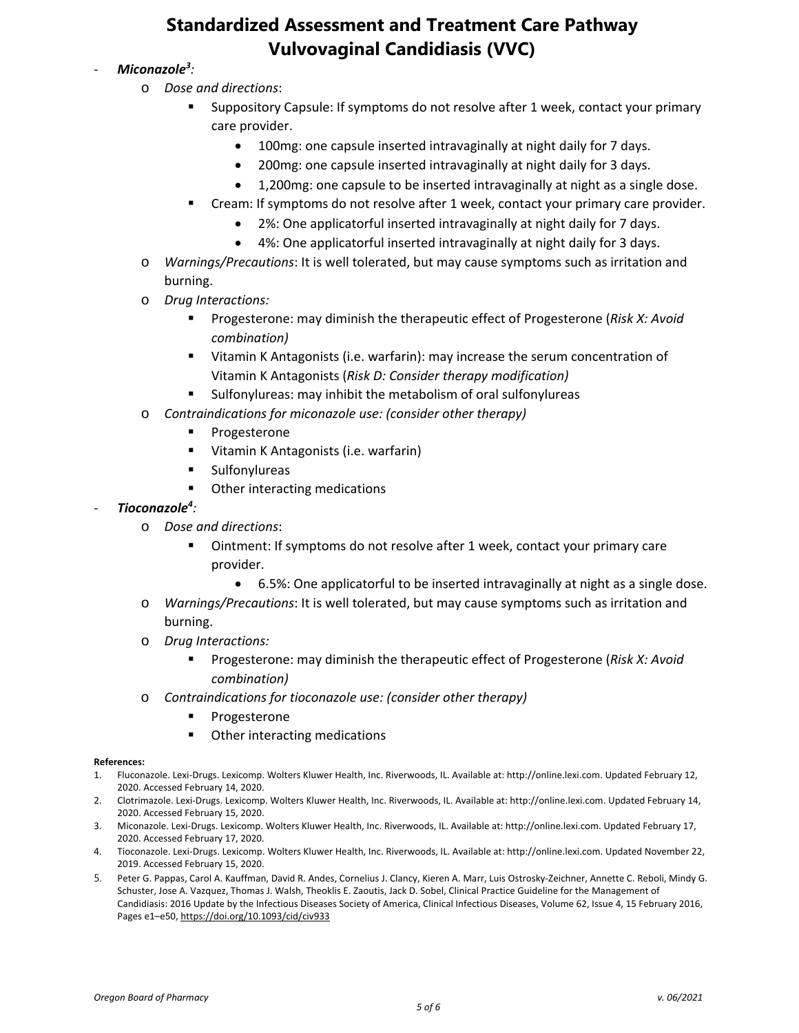# **Standardized Assessment and Treatment Care Pathway Vulvovaginal Candidiasis (VVC)**

### - *Miconazole3 :*

- o *Dose and directions*:
	- Suppository Capsule: If symptoms do not resolve after 1 week, contact your primary care provider.
		- 100mg: one capsule inserted intravaginally at night daily for 7 days.
		- 200mg: one capsule inserted intravaginally at night daily for 3 days.
		- 1,200mg: one capsule to be inserted intravaginally at night as a single dose.
	- Cream: If symptoms do not resolve after 1 week, contact your primary care provider.
		- 2%: One applicatorful inserted intravaginally at night daily for 7 days.
		- 4%: One applicatorful inserted intravaginally at night daily for 3 days.
- o *Warnings/Precautions*: It is well tolerated, but may cause symptoms such as irritation and burning.
- o *Drug Interactions:*
	- Progesterone: may diminish the therapeutic effect of Progesterone (*Risk X: Avoid combination)*
	- Vitamin K Antagonists (i.e. warfarin): may increase the serum concentration of Vitamin K Antagonists (*Risk D: Consider therapy modification)*
	- Sulfonylureas: may inhibit the metabolism of oral sulfonylureas
- o *Contraindications for miconazole use: (consider other therapy)*
	- **Progesterone**
	- Vitamin K Antagonists (i.e. warfarin)
	- **Sulfonylureas**
	- **•** Other interacting medications

### - *Tioconazole4 :*

- o *Dose and directions*:
	- Ointment: If symptoms do not resolve after 1 week, contact your primary care provider.
		- 6.5%: One applicatorful to be inserted intravaginally at night as a single dose.
- o *Warnings/Precautions*: It is well tolerated, but may cause symptoms such as irritation and burning.
- o *Drug Interactions:*
	- Progesterone: may diminish the therapeutic effect of Progesterone (*Risk X: Avoid combination)*
- o *Contraindications for tioconazole use: (consider other therapy)*
	- **Progesterone**
	- Other interacting medications

#### **References:**

- 1. Fluconazole. Lexi-Drugs. Lexicomp. Wolters Kluwer Health, Inc. Riverwoods, IL. Available at: http://online.lexi.com. Updated February 12, 2020. Accessed February 14, 2020.
- 2. Clotrimazole. Lexi-Drugs. Lexicomp. Wolters Kluwer Health, Inc. Riverwoods, IL. Available at: http://online.lexi.com. Updated February 14, 2020. Accessed February 15, 2020.
- 3. Miconazole. Lexi-Drugs. Lexicomp. Wolters Kluwer Health, Inc. Riverwoods, IL. Available at: http://online.lexi.com. Updated February 17, 2020. Accessed February 17, 2020.
- 4. Tioconazole. Lexi-Drugs. Lexicomp. Wolters Kluwer Health, Inc. Riverwoods, IL. Available at: http://online.lexi.com. Updated November 22, 2019. Accessed February 15, 2020.
- 5. Peter G. Pappas, Carol A. Kauffman, David R. Andes, Cornelius J. Clancy, Kieren A. Marr, Luis Ostrosky-Zeichner, Annette C. Reboli, Mindy G. Schuster, Jose A. Vazquez, Thomas J. Walsh, Theoklis E. Zaoutis, Jack D. Sobel, Clinical Practice Guideline for the Management of Candidiasis: 2016 Update by the Infectious Diseases Society of America, Clinical Infectious Diseases, Volume 62, Issue 4, 15 February 2016, Pages e1–e50, <https://doi.org/10.1093/cid/civ933>